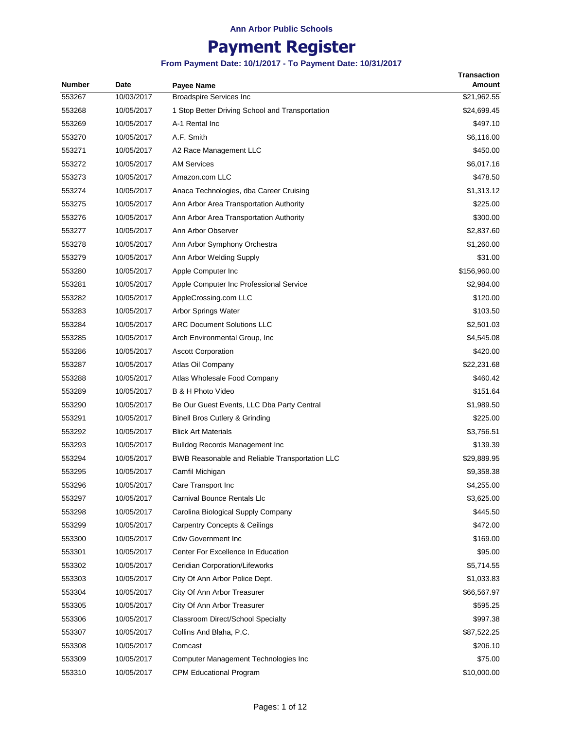# **Payment Register**

| <b>Number</b> | Date       | Payee Name                                      | <b>Transaction</b><br>Amount |
|---------------|------------|-------------------------------------------------|------------------------------|
| 553267        | 10/03/2017 | <b>Broadspire Services Inc</b>                  | \$21,962.55                  |
| 553268        | 10/05/2017 | 1 Stop Better Driving School and Transportation | \$24,699.45                  |
| 553269        | 10/05/2017 | A-1 Rental Inc                                  | \$497.10                     |
| 553270        | 10/05/2017 | A.F. Smith                                      | \$6,116.00                   |
| 553271        | 10/05/2017 | A2 Race Management LLC                          | \$450.00                     |
| 553272        | 10/05/2017 | <b>AM Services</b>                              | \$6,017.16                   |
| 553273        | 10/05/2017 | Amazon.com LLC                                  | \$478.50                     |
| 553274        | 10/05/2017 | Anaca Technologies, dba Career Cruising         | \$1,313.12                   |
| 553275        | 10/05/2017 | Ann Arbor Area Transportation Authority         | \$225.00                     |
| 553276        | 10/05/2017 | Ann Arbor Area Transportation Authority         | \$300.00                     |
| 553277        | 10/05/2017 | Ann Arbor Observer                              | \$2,837.60                   |
| 553278        | 10/05/2017 | Ann Arbor Symphony Orchestra                    | \$1,260.00                   |
| 553279        | 10/05/2017 | Ann Arbor Welding Supply                        | \$31.00                      |
| 553280        | 10/05/2017 | Apple Computer Inc                              | \$156,960.00                 |
| 553281        | 10/05/2017 | Apple Computer Inc Professional Service         | \$2,984.00                   |
| 553282        | 10/05/2017 | AppleCrossing.com LLC                           | \$120.00                     |
| 553283        | 10/05/2017 | Arbor Springs Water                             | \$103.50                     |
| 553284        | 10/05/2017 | ARC Document Solutions LLC                      | \$2,501.03                   |
| 553285        | 10/05/2017 | Arch Environmental Group, Inc.                  | \$4,545.08                   |
| 553286        | 10/05/2017 | <b>Ascott Corporation</b>                       | \$420.00                     |
| 553287        | 10/05/2017 | Atlas Oil Company                               | \$22,231.68                  |
| 553288        | 10/05/2017 | Atlas Wholesale Food Company                    | \$460.42                     |
| 553289        | 10/05/2017 | B & H Photo Video                               | \$151.64                     |
| 553290        | 10/05/2017 | Be Our Guest Events, LLC Dba Party Central      | \$1,989.50                   |
| 553291        | 10/05/2017 | Binell Bros Cutlery & Grinding                  | \$225.00                     |
| 553292        | 10/05/2017 | <b>Blick Art Materials</b>                      | \$3,756.51                   |
| 553293        | 10/05/2017 | Bulldog Records Management Inc                  | \$139.39                     |
| 553294        | 10/05/2017 | BWB Reasonable and Reliable Transportation LLC  | \$29,889.95                  |
| 553295        | 10/05/2017 | Camfil Michigan                                 | \$9,358.38                   |
| 553296        | 10/05/2017 | Care Transport Inc                              | \$4,255.00                   |
| 553297        | 10/05/2017 | <b>Carnival Bounce Rentals Llc</b>              | \$3,625.00                   |
| 553298        | 10/05/2017 | Carolina Biological Supply Company              | \$445.50                     |
| 553299        | 10/05/2017 | Carpentry Concepts & Ceilings                   | \$472.00                     |
| 553300        | 10/05/2017 | <b>Cdw Government Inc</b>                       | \$169.00                     |
| 553301        | 10/05/2017 | Center For Excellence In Education              | \$95.00                      |
| 553302        | 10/05/2017 | Ceridian Corporation/Lifeworks                  | \$5,714.55                   |
| 553303        | 10/05/2017 | City Of Ann Arbor Police Dept.                  | \$1,033.83                   |
| 553304        | 10/05/2017 | City Of Ann Arbor Treasurer                     | \$66,567.97                  |
| 553305        | 10/05/2017 | City Of Ann Arbor Treasurer                     | \$595.25                     |
| 553306        | 10/05/2017 | Classroom Direct/School Specialty               | \$997.38                     |
| 553307        | 10/05/2017 | Collins And Blaha, P.C.                         | \$87,522.25                  |
| 553308        | 10/05/2017 | Comcast                                         | \$206.10                     |
| 553309        | 10/05/2017 | Computer Management Technologies Inc            | \$75.00                      |
| 553310        | 10/05/2017 | <b>CPM Educational Program</b>                  | \$10,000.00                  |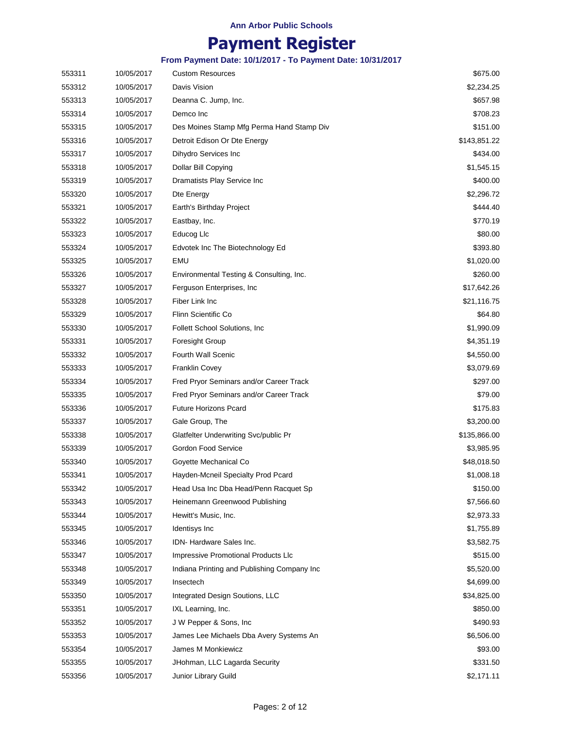### **Payment Register**

| 553311 | 10/05/2017 | <b>Custom Resources</b>                     | \$675.00     |
|--------|------------|---------------------------------------------|--------------|
| 553312 | 10/05/2017 | Davis Vision                                | \$2,234.25   |
| 553313 | 10/05/2017 | Deanna C. Jump, Inc.                        | \$657.98     |
| 553314 | 10/05/2017 | Demco Inc                                   | \$708.23     |
| 553315 | 10/05/2017 | Des Moines Stamp Mfg Perma Hand Stamp Div   | \$151.00     |
| 553316 | 10/05/2017 | Detroit Edison Or Dte Energy                | \$143,851.22 |
| 553317 | 10/05/2017 | Dihydro Services Inc                        | \$434.00     |
| 553318 | 10/05/2017 | Dollar Bill Copying                         | \$1,545.15   |
| 553319 | 10/05/2017 | Dramatists Play Service Inc                 | \$400.00     |
| 553320 | 10/05/2017 | Dte Energy                                  | \$2,296.72   |
| 553321 | 10/05/2017 | Earth's Birthday Project                    | \$444.40     |
| 553322 | 10/05/2017 | Eastbay, Inc.                               | \$770.19     |
| 553323 | 10/05/2017 | Educog Llc                                  | \$80.00      |
| 553324 | 10/05/2017 | Edvotek Inc The Biotechnology Ed            | \$393.80     |
| 553325 | 10/05/2017 | EMU                                         | \$1,020.00   |
| 553326 | 10/05/2017 | Environmental Testing & Consulting, Inc.    | \$260.00     |
| 553327 | 10/05/2017 | Ferguson Enterprises, Inc.                  | \$17,642.26  |
| 553328 | 10/05/2017 | Fiber Link Inc                              | \$21,116.75  |
| 553329 | 10/05/2017 | Flinn Scientific Co                         | \$64.80      |
| 553330 | 10/05/2017 | <b>Follett School Solutions, Inc.</b>       | \$1,990.09   |
| 553331 | 10/05/2017 | <b>Foresight Group</b>                      | \$4,351.19   |
| 553332 | 10/05/2017 | Fourth Wall Scenic                          | \$4,550.00   |
| 553333 | 10/05/2017 | <b>Franklin Covey</b>                       | \$3,079.69   |
| 553334 | 10/05/2017 | Fred Pryor Seminars and/or Career Track     | \$297.00     |
| 553335 | 10/05/2017 | Fred Pryor Seminars and/or Career Track     | \$79.00      |
| 553336 | 10/05/2017 | <b>Future Horizons Pcard</b>                | \$175.83     |
| 553337 | 10/05/2017 | Gale Group, The                             | \$3,200.00   |
| 553338 | 10/05/2017 | Glatfelter Underwriting Svc/public Pr       | \$135,866.00 |
| 553339 | 10/05/2017 | Gordon Food Service                         | \$3,985.95   |
| 553340 | 10/05/2017 | Goyette Mechanical Co                       | \$48,018.50  |
| 553341 | 10/05/2017 | Hayden-Mcneil Specialty Prod Pcard          | \$1,008.18   |
| 553342 | 10/05/2017 | Head Usa Inc Dba Head/Penn Racquet Sp       | \$150.00     |
| 553343 | 10/05/2017 | Heinemann Greenwood Publishing              | \$7,566.60   |
| 553344 | 10/05/2017 | Hewitt's Music, Inc.                        | \$2,973.33   |
| 553345 | 10/05/2017 | Identisys Inc                               | \$1,755.89   |
| 553346 | 10/05/2017 | <b>IDN-Hardware Sales Inc.</b>              | \$3,582.75   |
| 553347 | 10/05/2017 | Impressive Promotional Products LIc         | \$515.00     |
| 553348 | 10/05/2017 | Indiana Printing and Publishing Company Inc | \$5,520.00   |
| 553349 | 10/05/2017 | Insectech                                   | \$4,699.00   |
| 553350 | 10/05/2017 | Integrated Design Soutions, LLC             | \$34,825.00  |
| 553351 | 10/05/2017 | IXL Learning, Inc.                          | \$850.00     |
| 553352 | 10/05/2017 | J W Pepper & Sons, Inc.                     | \$490.93     |
| 553353 | 10/05/2017 | James Lee Michaels Dba Avery Systems An     | \$6,506.00   |
| 553354 | 10/05/2017 | James M Monkiewicz                          | \$93.00      |
| 553355 | 10/05/2017 | JHohman, LLC Lagarda Security               | \$331.50     |
| 553356 | 10/05/2017 | Junior Library Guild                        | \$2,171.11   |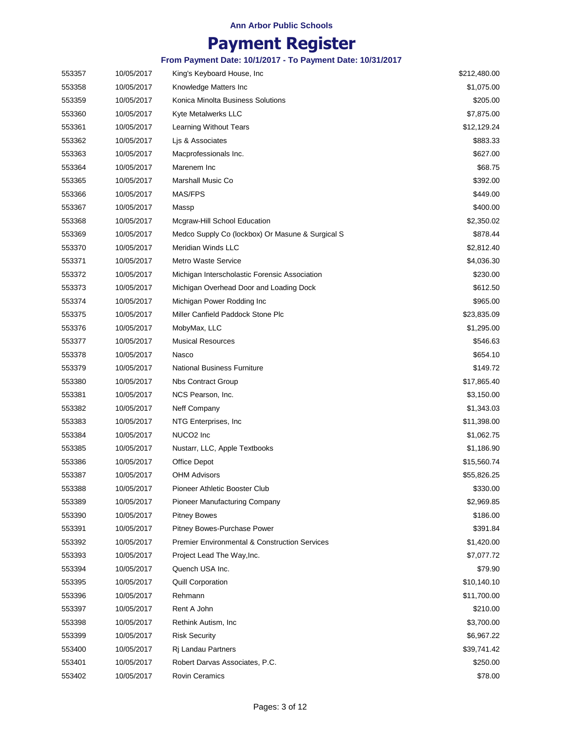## **Payment Register**

| 553357 | 10/05/2017 | King's Keyboard House, Inc.                              | \$212,480.00 |
|--------|------------|----------------------------------------------------------|--------------|
| 553358 | 10/05/2017 | Knowledge Matters Inc                                    | \$1,075.00   |
| 553359 | 10/05/2017 | Konica Minolta Business Solutions                        | \$205.00     |
| 553360 | 10/05/2017 | Kyte Metalwerks LLC                                      | \$7,875.00   |
| 553361 | 10/05/2017 | Learning Without Tears                                   | \$12,129.24  |
| 553362 | 10/05/2017 | Lis & Associates                                         | \$883.33     |
| 553363 | 10/05/2017 | Macprofessionals Inc.                                    | \$627.00     |
| 553364 | 10/05/2017 | Marenem Inc                                              | \$68.75      |
| 553365 | 10/05/2017 | Marshall Music Co                                        | \$392.00     |
| 553366 | 10/05/2017 | MAS/FPS                                                  | \$449.00     |
| 553367 | 10/05/2017 | Massp                                                    | \$400.00     |
| 553368 | 10/05/2017 | Mcgraw-Hill School Education                             | \$2,350.02   |
| 553369 | 10/05/2017 | Medco Supply Co (lockbox) Or Masune & Surgical S         | \$878.44     |
| 553370 | 10/05/2017 | Meridian Winds LLC                                       | \$2,812.40   |
| 553371 | 10/05/2017 | <b>Metro Waste Service</b>                               | \$4,036.30   |
| 553372 | 10/05/2017 | Michigan Interscholastic Forensic Association            | \$230.00     |
| 553373 | 10/05/2017 | Michigan Overhead Door and Loading Dock                  | \$612.50     |
| 553374 | 10/05/2017 | Michigan Power Rodding Inc                               | \$965.00     |
| 553375 | 10/05/2017 | Miller Canfield Paddock Stone Plc                        | \$23,835.09  |
| 553376 | 10/05/2017 | MobyMax, LLC                                             | \$1,295.00   |
| 553377 | 10/05/2017 | <b>Musical Resources</b>                                 | \$546.63     |
| 553378 | 10/05/2017 | Nasco                                                    | \$654.10     |
| 553379 | 10/05/2017 | <b>National Business Furniture</b>                       | \$149.72     |
| 553380 | 10/05/2017 | <b>Nbs Contract Group</b>                                | \$17,865.40  |
| 553381 | 10/05/2017 | NCS Pearson, Inc.                                        | \$3,150.00   |
| 553382 | 10/05/2017 | Neff Company                                             | \$1,343.03   |
| 553383 | 10/05/2017 | NTG Enterprises, Inc.                                    | \$11,398.00  |
| 553384 | 10/05/2017 | NUCO <sub>2</sub> Inc                                    | \$1,062.75   |
| 553385 | 10/05/2017 | Nustarr, LLC, Apple Textbooks                            | \$1,186.90   |
| 553386 | 10/05/2017 | Office Depot                                             | \$15,560.74  |
| 553387 | 10/05/2017 | <b>OHM Advisors</b>                                      | \$55,826.25  |
| 553388 | 10/05/2017 | Pioneer Athletic Booster Club                            | \$330.00     |
| 553389 | 10/05/2017 | <b>Pioneer Manufacturing Company</b>                     | \$2,969.85   |
| 553390 | 10/05/2017 | <b>Pitney Bowes</b>                                      | \$186.00     |
| 553391 | 10/05/2017 | Pitney Bowes-Purchase Power                              | \$391.84     |
| 553392 | 10/05/2017 | <b>Premier Environmental &amp; Construction Services</b> | \$1,420.00   |
| 553393 | 10/05/2017 | Project Lead The Way, Inc.                               | \$7,077.72   |
| 553394 | 10/05/2017 | Quench USA Inc.                                          | \$79.90      |
| 553395 | 10/05/2017 | <b>Quill Corporation</b>                                 | \$10,140.10  |
| 553396 | 10/05/2017 | Rehmann                                                  | \$11,700.00  |
| 553397 | 10/05/2017 | Rent A John                                              | \$210.00     |
| 553398 | 10/05/2017 | Rethink Autism, Inc                                      | \$3,700.00   |
| 553399 | 10/05/2017 | <b>Risk Security</b>                                     | \$6,967.22   |
| 553400 | 10/05/2017 | Ri Landau Partners                                       | \$39,741.42  |
| 553401 | 10/05/2017 | Robert Darvas Associates, P.C.                           | \$250.00     |
| 553402 | 10/05/2017 | <b>Rovin Ceramics</b>                                    | \$78.00      |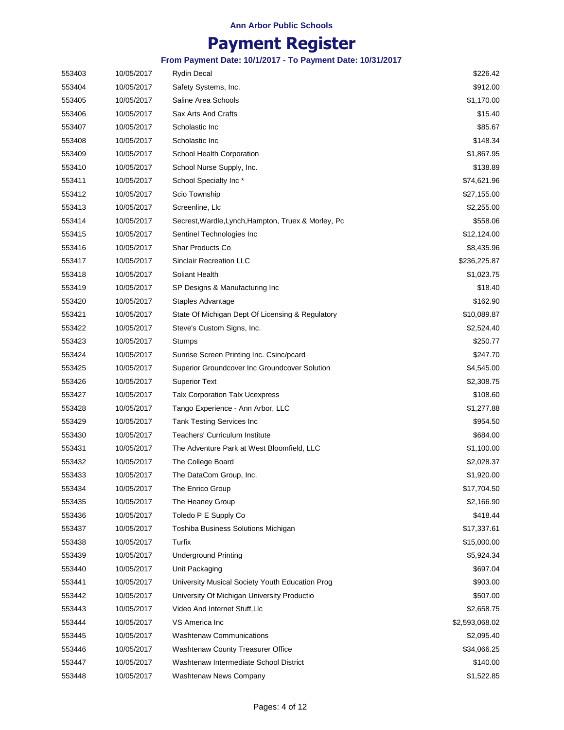### **Payment Register**

| 553403 | 10/05/2017 | <b>Rydin Decal</b>                                  | \$226.42       |
|--------|------------|-----------------------------------------------------|----------------|
| 553404 | 10/05/2017 | Safety Systems, Inc.                                | \$912.00       |
| 553405 | 10/05/2017 | Saline Area Schools                                 | \$1,170.00     |
| 553406 | 10/05/2017 | Sax Arts And Crafts                                 | \$15.40        |
| 553407 | 10/05/2017 | Scholastic Inc                                      | \$85.67        |
| 553408 | 10/05/2017 | Scholastic Inc                                      | \$148.34       |
| 553409 | 10/05/2017 | School Health Corporation                           | \$1,867.95     |
| 553410 | 10/05/2017 | School Nurse Supply, Inc.                           | \$138.89       |
| 553411 | 10/05/2017 | School Specialty Inc*                               | \$74,621.96    |
| 553412 | 10/05/2017 | Scio Township                                       | \$27,155.00    |
| 553413 | 10/05/2017 | Screenline, Llc                                     | \$2,255.00     |
| 553414 | 10/05/2017 | Secrest, Wardle, Lynch, Hampton, Truex & Morley, Pc | \$558.06       |
| 553415 | 10/05/2017 | Sentinel Technologies Inc                           | \$12,124.00    |
| 553416 | 10/05/2017 | <b>Shar Products Co</b>                             | \$8,435.96     |
| 553417 | 10/05/2017 | <b>Sinclair Recreation LLC</b>                      | \$236,225.87   |
| 553418 | 10/05/2017 | Soliant Health                                      | \$1,023.75     |
| 553419 | 10/05/2017 | SP Designs & Manufacturing Inc                      | \$18.40        |
| 553420 | 10/05/2017 | Staples Advantage                                   | \$162.90       |
| 553421 | 10/05/2017 | State Of Michigan Dept Of Licensing & Regulatory    | \$10,089.87    |
| 553422 | 10/05/2017 | Steve's Custom Signs, Inc.                          | \$2,524.40     |
| 553423 | 10/05/2017 | Stumps                                              | \$250.77       |
| 553424 | 10/05/2017 | Sunrise Screen Printing Inc. Csinc/pcard            | \$247.70       |
| 553425 | 10/05/2017 | Superior Groundcover Inc Groundcover Solution       | \$4,545.00     |
| 553426 | 10/05/2017 | <b>Superior Text</b>                                | \$2,308.75     |
| 553427 | 10/05/2017 | <b>Talx Corporation Talx Ucexpress</b>              | \$108.60       |
| 553428 | 10/05/2017 | Tango Experience - Ann Arbor, LLC                   | \$1,277.88     |
| 553429 | 10/05/2017 | Tank Testing Services Inc                           | \$954.50       |
| 553430 | 10/05/2017 | <b>Teachers' Curriculum Institute</b>               | \$684.00       |
| 553431 | 10/05/2017 | The Adventure Park at West Bloomfield, LLC          | \$1,100.00     |
| 553432 | 10/05/2017 | The College Board                                   | \$2,028.37     |
| 553433 | 10/05/2017 | The DataCom Group, Inc.                             | \$1,920.00     |
| 553434 | 10/05/2017 | The Enrico Group                                    | \$17,704.50    |
| 553435 | 10/05/2017 | The Heaney Group                                    | \$2,166.90     |
| 553436 | 10/05/2017 | Toledo P E Supply Co                                | \$418.44       |
| 553437 | 10/05/2017 | Toshiba Business Solutions Michigan                 | \$17,337.61    |
| 553438 | 10/05/2017 | Turfix                                              | \$15,000.00    |
| 553439 | 10/05/2017 | <b>Underground Printing</b>                         | \$5,924.34     |
| 553440 | 10/05/2017 | Unit Packaging                                      | \$697.04       |
| 553441 | 10/05/2017 | University Musical Society Youth Education Prog     | \$903.00       |
| 553442 | 10/05/2017 | University Of Michigan University Productio         | \$507.00       |
| 553443 | 10/05/2017 | Video And Internet Stuff, Llc                       | \$2,658.75     |
| 553444 | 10/05/2017 | VS America Inc                                      | \$2,593,068.02 |
| 553445 | 10/05/2017 | <b>Washtenaw Communications</b>                     | \$2,095.40     |
| 553446 | 10/05/2017 | Washtenaw County Treasurer Office                   | \$34,066.25    |
| 553447 | 10/05/2017 | Washtenaw Intermediate School District              | \$140.00       |
| 553448 | 10/05/2017 | Washtenaw News Company                              | \$1,522.85     |
|        |            |                                                     |                |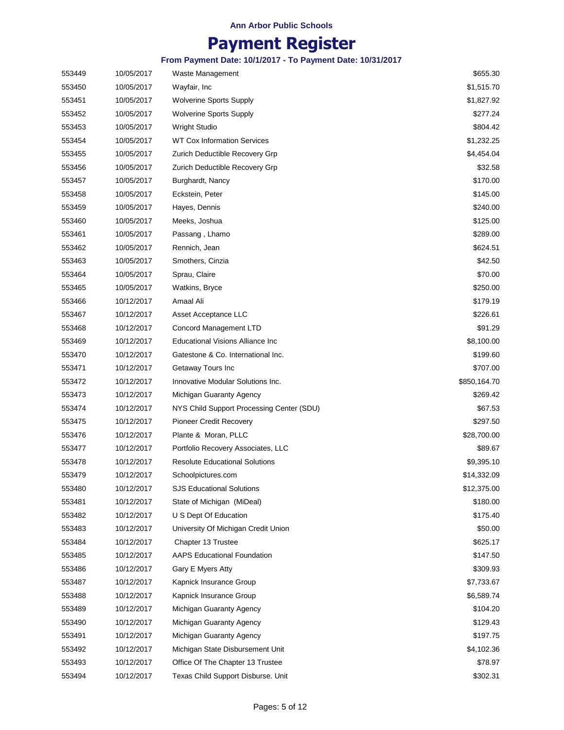### **Payment Register**

| 553449 | 10/05/2017 | Waste Management                          | \$655.30     |
|--------|------------|-------------------------------------------|--------------|
| 553450 | 10/05/2017 | Wayfair, Inc                              | \$1,515.70   |
| 553451 | 10/05/2017 | <b>Wolverine Sports Supply</b>            | \$1,827.92   |
| 553452 | 10/05/2017 | <b>Wolverine Sports Supply</b>            | \$277.24     |
| 553453 | 10/05/2017 | <b>Wright Studio</b>                      | \$804.42     |
| 553454 | 10/05/2017 | WT Cox Information Services               | \$1,232.25   |
| 553455 | 10/05/2017 | Zurich Deductible Recovery Grp            | \$4,454.04   |
| 553456 | 10/05/2017 | Zurich Deductible Recovery Grp            | \$32.58      |
| 553457 | 10/05/2017 | Burghardt, Nancy                          | \$170.00     |
| 553458 | 10/05/2017 | Eckstein, Peter                           | \$145.00     |
| 553459 | 10/05/2017 | Hayes, Dennis                             | \$240.00     |
| 553460 | 10/05/2017 | Meeks, Joshua                             | \$125.00     |
| 553461 | 10/05/2017 | Passang, Lhamo                            | \$289.00     |
| 553462 | 10/05/2017 | Rennich, Jean                             | \$624.51     |
| 553463 | 10/05/2017 | Smothers, Cinzia                          | \$42.50      |
| 553464 | 10/05/2017 | Sprau, Claire                             | \$70.00      |
| 553465 | 10/05/2017 | Watkins, Bryce                            | \$250.00     |
| 553466 | 10/12/2017 | Amaal Ali                                 | \$179.19     |
| 553467 | 10/12/2017 | Asset Acceptance LLC                      | \$226.61     |
| 553468 | 10/12/2017 | <b>Concord Management LTD</b>             | \$91.29      |
| 553469 | 10/12/2017 | <b>Educational Visions Alliance Inc</b>   | \$8,100.00   |
| 553470 | 10/12/2017 | Gatestone & Co. International Inc.        | \$199.60     |
| 553471 | 10/12/2017 | Getaway Tours Inc                         | \$707.00     |
| 553472 | 10/12/2017 | Innovative Modular Solutions Inc.         | \$850,164.70 |
| 553473 | 10/12/2017 | Michigan Guaranty Agency                  | \$269.42     |
| 553474 | 10/12/2017 | NYS Child Support Processing Center (SDU) | \$67.53      |
| 553475 | 10/12/2017 | Pioneer Credit Recovery                   | \$297.50     |
| 553476 | 10/12/2017 | Plante & Moran, PLLC                      | \$28,700.00  |
| 553477 | 10/12/2017 | Portfolio Recovery Associates, LLC        | \$89.67      |
| 553478 | 10/12/2017 | Resolute Educational Solutions            | \$9,395.10   |
| 553479 | 10/12/2017 | Schoolpictures.com                        | \$14,332.09  |
| 553480 | 10/12/2017 | SJS Educational Solutions                 | \$12,375.00  |
| 553481 | 10/12/2017 | State of Michigan (MiDeal)                | \$180.00     |
| 553482 | 10/12/2017 | U S Dept Of Education                     | \$175.40     |
| 553483 | 10/12/2017 | University Of Michigan Credit Union       | \$50.00      |
| 553484 | 10/12/2017 | Chapter 13 Trustee                        | \$625.17     |
| 553485 | 10/12/2017 | <b>AAPS Educational Foundation</b>        | \$147.50     |
| 553486 | 10/12/2017 | Gary E Myers Atty                         | \$309.93     |
| 553487 | 10/12/2017 | Kapnick Insurance Group                   | \$7,733.67   |
| 553488 | 10/12/2017 | Kapnick Insurance Group                   | \$6,589.74   |
| 553489 | 10/12/2017 | Michigan Guaranty Agency                  | \$104.20     |
| 553490 | 10/12/2017 | Michigan Guaranty Agency                  | \$129.43     |
| 553491 | 10/12/2017 | Michigan Guaranty Agency                  | \$197.75     |
| 553492 | 10/12/2017 | Michigan State Disbursement Unit          | \$4,102.36   |
| 553493 | 10/12/2017 | Office Of The Chapter 13 Trustee          | \$78.97      |
| 553494 | 10/12/2017 | Texas Child Support Disburse. Unit        | \$302.31     |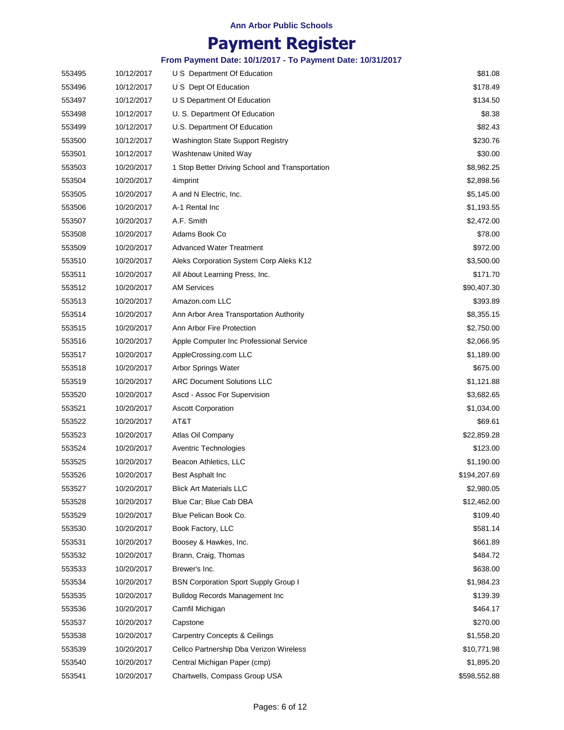### **Payment Register**

| 553495 | 10/12/2017 | U S Department Of Education                     | \$81.08      |
|--------|------------|-------------------------------------------------|--------------|
| 553496 | 10/12/2017 | U S Dept Of Education                           | \$178.49     |
| 553497 | 10/12/2017 | U S Department Of Education                     | \$134.50     |
| 553498 | 10/12/2017 | U. S. Department Of Education                   | \$8.38       |
| 553499 | 10/12/2017 | U.S. Department Of Education                    | \$82.43      |
| 553500 | 10/12/2017 | Washington State Support Registry               | \$230.76     |
| 553501 | 10/12/2017 | Washtenaw United Way                            | \$30.00      |
| 553503 | 10/20/2017 | 1 Stop Better Driving School and Transportation | \$8,982.25   |
| 553504 | 10/20/2017 | 4imprint                                        | \$2,898.56   |
| 553505 | 10/20/2017 | A and N Electric, Inc.                          | \$5,145.00   |
| 553506 | 10/20/2017 | A-1 Rental Inc                                  | \$1,193.55   |
| 553507 | 10/20/2017 | A.F. Smith                                      | \$2,472.00   |
| 553508 | 10/20/2017 | Adams Book Co                                   | \$78.00      |
| 553509 | 10/20/2017 | <b>Advanced Water Treatment</b>                 | \$972.00     |
| 553510 | 10/20/2017 | Aleks Corporation System Corp Aleks K12         | \$3,500.00   |
| 553511 | 10/20/2017 | All About Learning Press, Inc.                  | \$171.70     |
| 553512 | 10/20/2017 | <b>AM Services</b>                              | \$90,407.30  |
| 553513 | 10/20/2017 | Amazon.com LLC                                  | \$393.89     |
| 553514 | 10/20/2017 | Ann Arbor Area Transportation Authority         | \$8,355.15   |
| 553515 | 10/20/2017 | Ann Arbor Fire Protection                       | \$2,750.00   |
| 553516 | 10/20/2017 | Apple Computer Inc Professional Service         | \$2,066.95   |
| 553517 | 10/20/2017 | AppleCrossing.com LLC                           | \$1,189.00   |
| 553518 | 10/20/2017 | Arbor Springs Water                             | \$675.00     |
| 553519 | 10/20/2017 | <b>ARC Document Solutions LLC</b>               | \$1,121.88   |
| 553520 | 10/20/2017 | Ascd - Assoc For Supervision                    | \$3,682.65   |
| 553521 | 10/20/2017 | <b>Ascott Corporation</b>                       | \$1,034.00   |
| 553522 | 10/20/2017 | AT&T                                            | \$69.61      |
| 553523 | 10/20/2017 | Atlas Oil Company                               | \$22,859.28  |
| 553524 | 10/20/2017 | <b>Aventric Technologies</b>                    | \$123.00     |
| 553525 | 10/20/2017 | Beacon Athletics, LLC                           | \$1,190.00   |
| 553526 | 10/20/2017 | Best Asphalt Inc                                | \$194,207.69 |
| 553527 | 10/20/2017 | <b>Blick Art Materials LLC</b>                  | \$2,980.05   |
| 553528 | 10/20/2017 | Blue Car; Blue Cab DBA                          | \$12,462.00  |
| 553529 | 10/20/2017 | Blue Pelican Book Co.                           | \$109.40     |
| 553530 | 10/20/2017 | Book Factory, LLC                               | \$581.14     |
| 553531 | 10/20/2017 | Boosey & Hawkes, Inc.                           | \$661.89     |
| 553532 | 10/20/2017 | Brann, Craig, Thomas                            | \$484.72     |
| 553533 | 10/20/2017 | Brewer's Inc.                                   | \$638.00     |
| 553534 | 10/20/2017 | <b>BSN Corporation Sport Supply Group I</b>     | \$1,984.23   |
| 553535 | 10/20/2017 | <b>Bulldog Records Management Inc.</b>          | \$139.39     |
| 553536 | 10/20/2017 | Camfil Michigan                                 | \$464.17     |
| 553537 | 10/20/2017 | Capstone                                        | \$270.00     |
| 553538 | 10/20/2017 | <b>Carpentry Concepts &amp; Ceilings</b>        | \$1,558.20   |
| 553539 | 10/20/2017 | Cellco Partnership Dba Verizon Wireless         | \$10,771.98  |
| 553540 | 10/20/2017 | Central Michigan Paper (cmp)                    | \$1,895.20   |
| 553541 | 10/20/2017 | Chartwells, Compass Group USA                   | \$598,552.88 |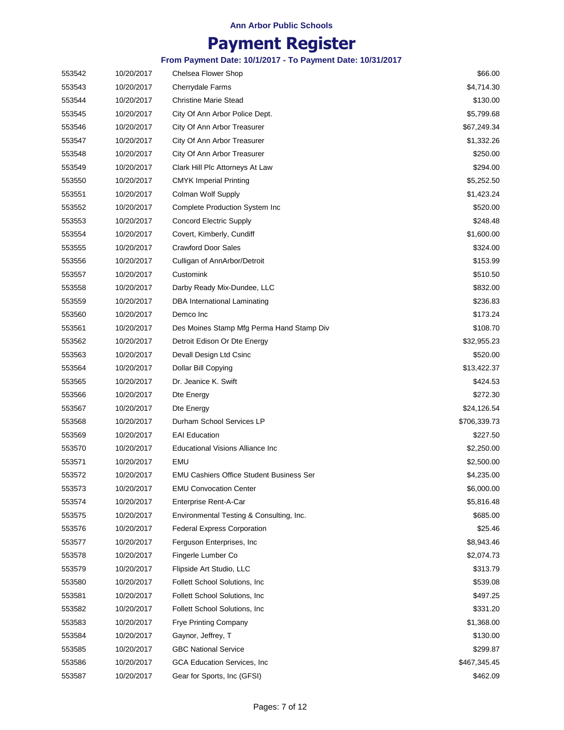## **Payment Register**

| 553542 | 10/20/2017 | Chelsea Flower Shop                             | \$66.00      |
|--------|------------|-------------------------------------------------|--------------|
| 553543 | 10/20/2017 | Cherrydale Farms                                | \$4,714.30   |
| 553544 | 10/20/2017 | <b>Christine Marie Stead</b>                    | \$130.00     |
| 553545 | 10/20/2017 | City Of Ann Arbor Police Dept.                  | \$5,799.68   |
| 553546 | 10/20/2017 | City Of Ann Arbor Treasurer                     | \$67,249.34  |
| 553547 | 10/20/2017 | City Of Ann Arbor Treasurer                     | \$1,332.26   |
| 553548 | 10/20/2017 | City Of Ann Arbor Treasurer                     | \$250.00     |
| 553549 | 10/20/2017 | Clark Hill Plc Attorneys At Law                 | \$294.00     |
| 553550 | 10/20/2017 | <b>CMYK</b> Imperial Printing                   | \$5,252.50   |
| 553551 | 10/20/2017 | Colman Wolf Supply                              | \$1,423.24   |
| 553552 | 10/20/2017 | <b>Complete Production System Inc</b>           | \$520.00     |
| 553553 | 10/20/2017 | <b>Concord Electric Supply</b>                  | \$248.48     |
| 553554 | 10/20/2017 | Covert, Kimberly, Cundiff                       | \$1,600.00   |
| 553555 | 10/20/2017 | <b>Crawford Door Sales</b>                      | \$324.00     |
| 553556 | 10/20/2017 | Culligan of AnnArbor/Detroit                    | \$153.99     |
| 553557 | 10/20/2017 | Customink                                       | \$510.50     |
| 553558 | 10/20/2017 | Darby Ready Mix-Dundee, LLC                     | \$832.00     |
| 553559 | 10/20/2017 | DBA International Laminating                    | \$236.83     |
| 553560 | 10/20/2017 | Demco Inc                                       | \$173.24     |
| 553561 | 10/20/2017 | Des Moines Stamp Mfg Perma Hand Stamp Div       | \$108.70     |
| 553562 | 10/20/2017 | Detroit Edison Or Dte Energy                    | \$32,955.23  |
| 553563 | 10/20/2017 | Devall Design Ltd Csinc                         | \$520.00     |
| 553564 | 10/20/2017 | Dollar Bill Copying                             | \$13,422.37  |
| 553565 | 10/20/2017 | Dr. Jeanice K. Swift                            | \$424.53     |
| 553566 | 10/20/2017 | Dte Energy                                      | \$272.30     |
| 553567 | 10/20/2017 | Dte Energy                                      | \$24,126.54  |
| 553568 | 10/20/2017 | Durham School Services LP                       | \$706,339.73 |
| 553569 | 10/20/2017 | <b>EAI Education</b>                            | \$227.50     |
| 553570 | 10/20/2017 | Educational Visions Alliance Inc                | \$2,250.00   |
| 553571 | 10/20/2017 | EMU                                             | \$2,500.00   |
| 553572 | 10/20/2017 | <b>EMU Cashiers Office Student Business Ser</b> | \$4,235.00   |
| 553573 | 10/20/2017 | <b>EMU Convocation Center</b>                   | \$6,000.00   |
| 553574 | 10/20/2017 | Enterprise Rent-A-Car                           | \$5,816.48   |
| 553575 | 10/20/2017 | Environmental Testing & Consulting, Inc.        | \$685.00     |
| 553576 | 10/20/2017 | <b>Federal Express Corporation</b>              | \$25.46      |
| 553577 | 10/20/2017 | Ferguson Enterprises, Inc.                      | \$8,943.46   |
| 553578 | 10/20/2017 | Fingerle Lumber Co                              | \$2,074.73   |
| 553579 | 10/20/2017 | Flipside Art Studio, LLC                        | \$313.79     |
| 553580 | 10/20/2017 | Follett School Solutions, Inc.                  | \$539.08     |
| 553581 | 10/20/2017 | <b>Follett School Solutions, Inc.</b>           | \$497.25     |
| 553582 | 10/20/2017 | Follett School Solutions, Inc.                  | \$331.20     |
| 553583 | 10/20/2017 | <b>Frye Printing Company</b>                    | \$1,368.00   |
| 553584 | 10/20/2017 | Gaynor, Jeffrey, T                              | \$130.00     |
| 553585 | 10/20/2017 | <b>GBC National Service</b>                     | \$299.87     |
| 553586 | 10/20/2017 | GCA Education Services, Inc                     | \$467,345.45 |
| 553587 | 10/20/2017 | Gear for Sports, Inc (GFSI)                     | \$462.09     |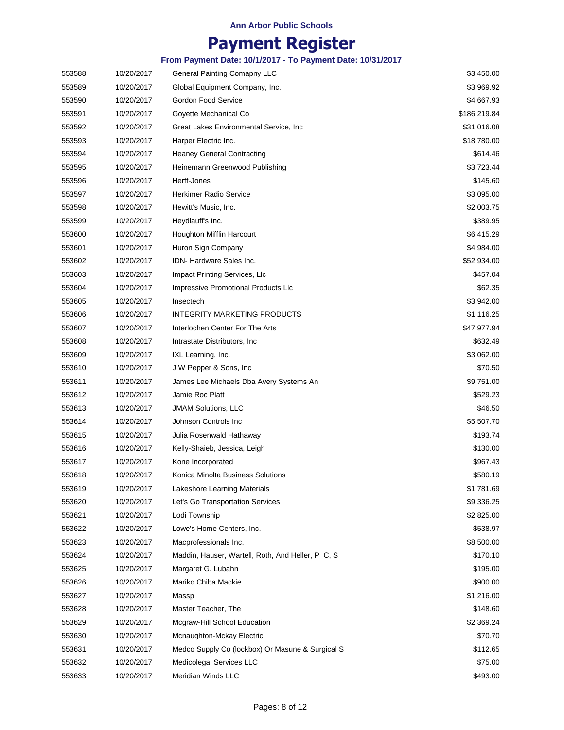## **Payment Register**

| 553588 | 10/20/2017 | General Painting Comapny LLC                      | \$3,450.00   |
|--------|------------|---------------------------------------------------|--------------|
| 553589 | 10/20/2017 | Global Equipment Company, Inc.                    | \$3,969.92   |
| 553590 | 10/20/2017 | Gordon Food Service                               | \$4,667.93   |
| 553591 | 10/20/2017 | Goyette Mechanical Co                             | \$186,219.84 |
| 553592 | 10/20/2017 | Great Lakes Environmental Service, Inc.           | \$31,016.08  |
| 553593 | 10/20/2017 | Harper Electric Inc.                              | \$18,780.00  |
| 553594 | 10/20/2017 | <b>Heaney General Contracting</b>                 | \$614.46     |
| 553595 | 10/20/2017 | Heinemann Greenwood Publishing                    | \$3,723.44   |
| 553596 | 10/20/2017 | Herff-Jones                                       | \$145.60     |
| 553597 | 10/20/2017 | <b>Herkimer Radio Service</b>                     | \$3,095.00   |
| 553598 | 10/20/2017 | Hewitt's Music, Inc.                              | \$2,003.75   |
| 553599 | 10/20/2017 | Heydlauff's Inc.                                  | \$389.95     |
| 553600 | 10/20/2017 | Houghton Mifflin Harcourt                         | \$6,415.29   |
| 553601 | 10/20/2017 | Huron Sign Company                                | \$4,984.00   |
| 553602 | 10/20/2017 | IDN-Hardware Sales Inc.                           | \$52,934.00  |
| 553603 | 10/20/2017 | Impact Printing Services, Llc                     | \$457.04     |
| 553604 | 10/20/2017 | Impressive Promotional Products Llc               | \$62.35      |
| 553605 | 10/20/2017 | Insectech                                         | \$3,942.00   |
| 553606 | 10/20/2017 | <b>INTEGRITY MARKETING PRODUCTS</b>               | \$1,116.25   |
| 553607 | 10/20/2017 | Interlochen Center For The Arts                   | \$47,977.94  |
| 553608 | 10/20/2017 | Intrastate Distributors, Inc.                     | \$632.49     |
| 553609 | 10/20/2017 | IXL Learning, Inc.                                | \$3,062.00   |
| 553610 | 10/20/2017 | J W Pepper & Sons, Inc.                           | \$70.50      |
| 553611 | 10/20/2017 | James Lee Michaels Dba Avery Systems An           | \$9,751.00   |
| 553612 | 10/20/2017 | Jamie Roc Platt                                   | \$529.23     |
| 553613 | 10/20/2017 | <b>JMAM Solutions, LLC</b>                        | \$46.50      |
| 553614 | 10/20/2017 | Johnson Controls Inc                              | \$5,507.70   |
| 553615 | 10/20/2017 | Julia Rosenwald Hathaway                          | \$193.74     |
| 553616 | 10/20/2017 | Kelly-Shaieb, Jessica, Leigh                      | \$130.00     |
| 553617 | 10/20/2017 | Kone Incorporated                                 | \$967.43     |
| 553618 | 10/20/2017 | Konica Minolta Business Solutions                 | \$580.19     |
| 553619 | 10/20/2017 | Lakeshore Learning Materials                      | \$1,781.69   |
| 553620 | 10/20/2017 | Let's Go Transportation Services                  | \$9,336.25   |
| 553621 | 10/20/2017 | Lodi Township                                     | \$2,825.00   |
| 553622 | 10/20/2017 | Lowe's Home Centers, Inc.                         | \$538.97     |
| 553623 | 10/20/2017 | Macprofessionals Inc.                             | \$8,500.00   |
| 553624 | 10/20/2017 | Maddin, Hauser, Wartell, Roth, And Heller, P C, S | \$170.10     |
| 553625 | 10/20/2017 | Margaret G. Lubahn                                | \$195.00     |
| 553626 | 10/20/2017 | Mariko Chiba Mackie                               | \$900.00     |
| 553627 | 10/20/2017 | Massp                                             | \$1,216.00   |
| 553628 | 10/20/2017 | Master Teacher, The                               | \$148.60     |
| 553629 | 10/20/2017 | Mcgraw-Hill School Education                      | \$2,369.24   |
| 553630 | 10/20/2017 | Mcnaughton-Mckay Electric                         | \$70.70      |
| 553631 | 10/20/2017 | Medco Supply Co (lockbox) Or Masune & Surgical S  | \$112.65     |
| 553632 | 10/20/2017 | Medicolegal Services LLC                          | \$75.00      |
| 553633 | 10/20/2017 | Meridian Winds LLC                                | \$493.00     |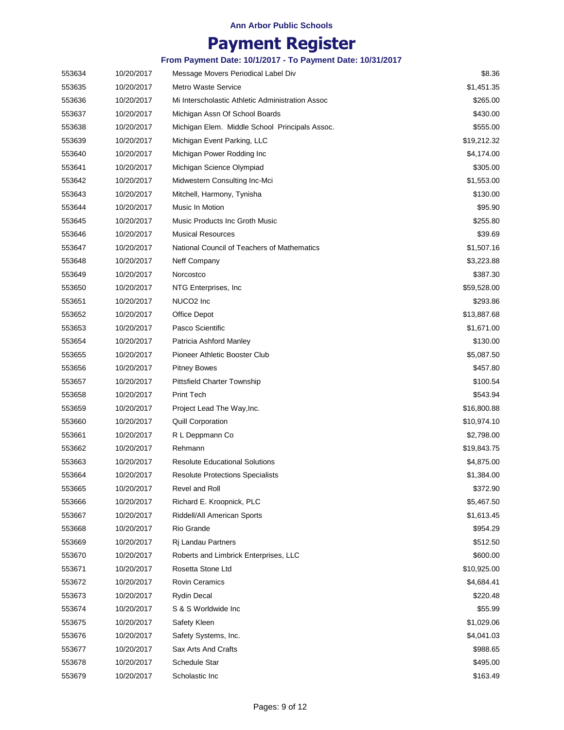### **Payment Register**

| 553634 | 10/20/2017 | Message Movers Periodical Label Div              | \$8.36      |
|--------|------------|--------------------------------------------------|-------------|
| 553635 | 10/20/2017 | <b>Metro Waste Service</b>                       | \$1,451.35  |
| 553636 | 10/20/2017 | Mi Interscholastic Athletic Administration Assoc | \$265.00    |
| 553637 | 10/20/2017 | Michigan Assn Of School Boards                   | \$430.00    |
| 553638 | 10/20/2017 | Michigan Elem. Middle School Principals Assoc.   | \$555.00    |
| 553639 | 10/20/2017 | Michigan Event Parking, LLC                      | \$19,212.32 |
| 553640 | 10/20/2017 | Michigan Power Rodding Inc                       | \$4,174.00  |
| 553641 | 10/20/2017 | Michigan Science Olympiad                        | \$305.00    |
| 553642 | 10/20/2017 | Midwestern Consulting Inc-Mci                    | \$1,553.00  |
| 553643 | 10/20/2017 | Mitchell, Harmony, Tynisha                       | \$130.00    |
| 553644 | 10/20/2017 | Music In Motion                                  | \$95.90     |
| 553645 | 10/20/2017 | Music Products Inc Groth Music                   | \$255.80    |
| 553646 | 10/20/2017 | <b>Musical Resources</b>                         | \$39.69     |
| 553647 | 10/20/2017 | National Council of Teachers of Mathematics      | \$1,507.16  |
| 553648 | 10/20/2017 | Neff Company                                     | \$3,223.88  |
| 553649 | 10/20/2017 | Norcostco                                        | \$387.30    |
| 553650 | 10/20/2017 | NTG Enterprises, Inc.                            | \$59,528.00 |
| 553651 | 10/20/2017 | NUCO <sub>2</sub> Inc                            | \$293.86    |
| 553652 | 10/20/2017 | Office Depot                                     | \$13,887.68 |
| 553653 | 10/20/2017 | Pasco Scientific                                 | \$1,671.00  |
| 553654 | 10/20/2017 | Patricia Ashford Manley                          | \$130.00    |
| 553655 | 10/20/2017 | Pioneer Athletic Booster Club                    | \$5,087.50  |
| 553656 | 10/20/2017 | <b>Pitney Bowes</b>                              | \$457.80    |
| 553657 | 10/20/2017 | <b>Pittsfield Charter Township</b>               | \$100.54    |
| 553658 | 10/20/2017 | <b>Print Tech</b>                                | \$543.94    |
| 553659 | 10/20/2017 | Project Lead The Way, Inc.                       | \$16,800.88 |
| 553660 | 10/20/2017 | <b>Quill Corporation</b>                         | \$10,974.10 |
| 553661 | 10/20/2017 | R L Deppmann Co                                  | \$2,798.00  |
| 553662 | 10/20/2017 | Rehmann                                          | \$19,843.75 |
| 553663 | 10/20/2017 | <b>Resolute Educational Solutions</b>            | \$4,875.00  |
| 553664 | 10/20/2017 | <b>Resolute Protections Specialists</b>          | \$1,384.00  |
| 553665 | 10/20/2017 | Revel and Roll                                   | \$372.90    |
| 553666 | 10/20/2017 | Richard E. Kroopnick, PLC                        | \$5,467.50  |
| 553667 | 10/20/2017 | Riddell/All American Sports                      | \$1,613.45  |
| 553668 | 10/20/2017 | Rio Grande                                       | \$954.29    |
| 553669 | 10/20/2017 | Ri Landau Partners                               | \$512.50    |
| 553670 | 10/20/2017 | Roberts and Limbrick Enterprises, LLC            | \$600.00    |
| 553671 | 10/20/2017 | Rosetta Stone Ltd                                | \$10,925.00 |
| 553672 | 10/20/2017 | <b>Rovin Ceramics</b>                            | \$4,684.41  |
| 553673 | 10/20/2017 | Rydin Decal                                      | \$220.48    |
| 553674 | 10/20/2017 | S & S Worldwide Inc                              | \$55.99     |
| 553675 | 10/20/2017 | Safety Kleen                                     | \$1,029.06  |
| 553676 | 10/20/2017 | Safety Systems, Inc.                             | \$4,041.03  |
| 553677 | 10/20/2017 | Sax Arts And Crafts                              | \$988.65    |
| 553678 | 10/20/2017 | Schedule Star                                    | \$495.00    |
| 553679 | 10/20/2017 | Scholastic Inc                                   | \$163.49    |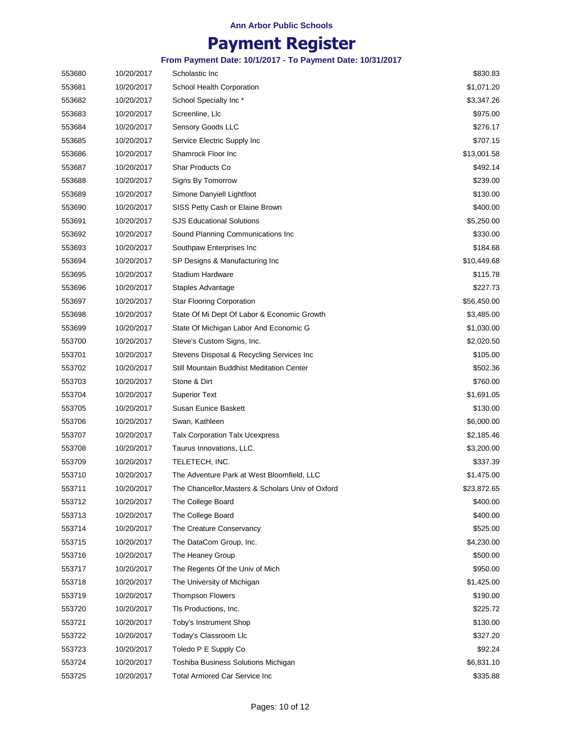## **Payment Register**

| 553680 | 10/20/2017 | Scholastic Inc                                    | \$830.83    |
|--------|------------|---------------------------------------------------|-------------|
| 553681 | 10/20/2017 | School Health Corporation                         | \$1,071.20  |
| 553682 | 10/20/2017 | School Specialty Inc *                            | \$3,347.26  |
| 553683 | 10/20/2017 | Screenline, Llc                                   | \$975.00    |
| 553684 | 10/20/2017 | Sensory Goods LLC                                 | \$276.17    |
| 553685 | 10/20/2017 | Service Electric Supply Inc                       | \$707.15    |
| 553686 | 10/20/2017 | Shamrock Floor Inc                                | \$13,001.58 |
| 553687 | 10/20/2017 | <b>Shar Products Co</b>                           | \$492.14    |
| 553688 | 10/20/2017 | Signs By Tomorrow                                 | \$239.00    |
| 553689 | 10/20/2017 | Simone Danyiell Lightfoot                         | \$130.00    |
| 553690 | 10/20/2017 | SISS Petty Cash or Elaine Brown                   | \$400.00    |
| 553691 | 10/20/2017 | <b>SJS Educational Solutions</b>                  | \$5,250.00  |
| 553692 | 10/20/2017 | Sound Planning Communications Inc                 | \$330.00    |
| 553693 | 10/20/2017 | Southpaw Enterprises Inc                          | \$184.68    |
| 553694 | 10/20/2017 | SP Designs & Manufacturing Inc                    | \$10,449.68 |
| 553695 | 10/20/2017 | Stadium Hardware                                  | \$115.78    |
| 553696 | 10/20/2017 | Staples Advantage                                 | \$227.73    |
| 553697 | 10/20/2017 | <b>Star Flooring Corporation</b>                  | \$56,450.00 |
| 553698 | 10/20/2017 | State Of Mi Dept Of Labor & Economic Growth       | \$3,485.00  |
| 553699 | 10/20/2017 | State Of Michigan Labor And Economic G            | \$1,030.00  |
| 553700 | 10/20/2017 | Steve's Custom Signs, Inc.                        | \$2,020.50  |
| 553701 | 10/20/2017 | Stevens Disposal & Recycling Services Inc         | \$105.00    |
| 553702 | 10/20/2017 | Still Mountain Buddhist Meditation Center         | \$502.36    |
| 553703 | 10/20/2017 | Stone & Dirt                                      | \$760.00    |
| 553704 | 10/20/2017 | <b>Superior Text</b>                              | \$1,691.05  |
| 553705 | 10/20/2017 | Susan Eunice Baskett                              | \$130.00    |
| 553706 | 10/20/2017 | Swan, Kathleen                                    | \$6,000.00  |
| 553707 | 10/20/2017 | <b>Talx Corporation Talx Ucexpress</b>            | \$2,185.46  |
| 553708 | 10/20/2017 | Taurus Innovations, LLC.                          | \$3,200.00  |
| 553709 | 10/20/2017 | TELETECH, INC.                                    | \$337.39    |
| 553710 | 10/20/2017 | The Adventure Park at West Bloomfield, LLC        | \$1,475.00  |
| 553711 | 10/20/2017 | The Chancellor, Masters & Scholars Univ of Oxford | \$23,872.65 |
| 553712 | 10/20/2017 | The College Board                                 | \$400.00    |
| 553713 | 10/20/2017 | The College Board                                 | \$400.00    |
| 553714 | 10/20/2017 | The Creature Conservancy                          | \$525.00    |
| 553715 | 10/20/2017 | The DataCom Group, Inc.                           | \$4,230.00  |
| 553716 | 10/20/2017 | The Heaney Group                                  | \$500.00    |
| 553717 | 10/20/2017 | The Regents Of the Univ of Mich                   | \$950.00    |
| 553718 | 10/20/2017 | The University of Michigan                        | \$1,425.00  |
| 553719 | 10/20/2017 | <b>Thompson Flowers</b>                           | \$190.00    |
| 553720 | 10/20/2017 | TIs Productions, Inc.                             | \$225.72    |
| 553721 | 10/20/2017 | Toby's Instrument Shop                            | \$130.00    |
| 553722 | 10/20/2017 | Today's Classroom Llc                             | \$327.20    |
| 553723 | 10/20/2017 | Toledo P E Supply Co                              | \$92.24     |
| 553724 | 10/20/2017 | Toshiba Business Solutions Michigan               | \$6,831.10  |
| 553725 | 10/20/2017 | Total Armored Car Service Inc                     | \$335.88    |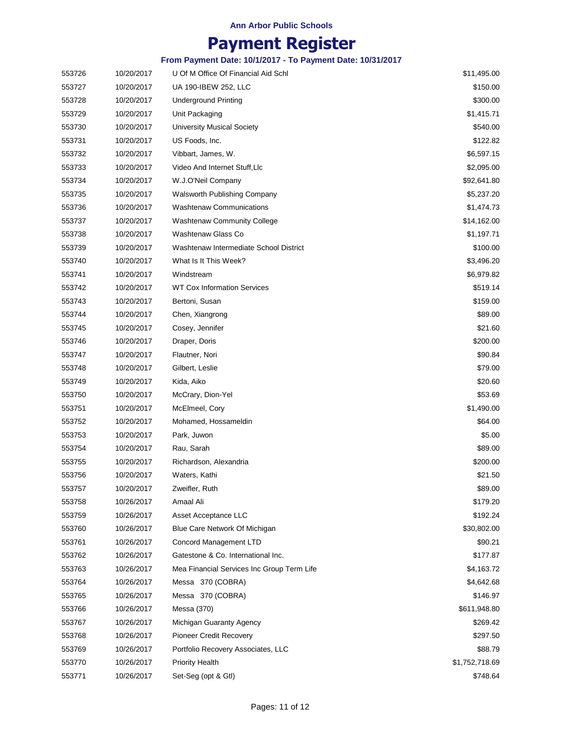### **Payment Register**

| 553726 | 10/20/2017 | U Of M Office Of Financial Aid Schl        | \$11,495.00    |
|--------|------------|--------------------------------------------|----------------|
| 553727 | 10/20/2017 | UA 190-IBEW 252, LLC                       | \$150.00       |
| 553728 | 10/20/2017 | <b>Underground Printing</b>                | \$300.00       |
| 553729 | 10/20/2017 | Unit Packaging                             | \$1,415.71     |
| 553730 | 10/20/2017 | <b>University Musical Society</b>          | \$540.00       |
| 553731 | 10/20/2017 | US Foods, Inc.                             | \$122.82       |
| 553732 | 10/20/2017 | Vibbart, James, W.                         | \$6,597.15     |
| 553733 | 10/20/2017 | Video And Internet Stuff, Llc              | \$2,095.00     |
| 553734 | 10/20/2017 | W.J.O'Neil Company                         | \$92,641.80    |
| 553735 | 10/20/2017 | Walsworth Publishing Company               | \$5,237.20     |
| 553736 | 10/20/2017 | <b>Washtenaw Communications</b>            | \$1,474.73     |
| 553737 | 10/20/2017 | <b>Washtenaw Community College</b>         | \$14,162.00    |
| 553738 | 10/20/2017 | Washtenaw Glass Co                         | \$1,197.71     |
| 553739 | 10/20/2017 | Washtenaw Intermediate School District     | \$100.00       |
| 553740 | 10/20/2017 | What Is It This Week?                      | \$3,496.20     |
| 553741 | 10/20/2017 | Windstream                                 | \$6,979.82     |
| 553742 | 10/20/2017 | <b>WT Cox Information Services</b>         | \$519.14       |
| 553743 | 10/20/2017 | Bertoni, Susan                             | \$159.00       |
| 553744 | 10/20/2017 | Chen, Xiangrong                            | \$89.00        |
| 553745 | 10/20/2017 | Cosey, Jennifer                            | \$21.60        |
| 553746 | 10/20/2017 | Draper, Doris                              | \$200.00       |
| 553747 | 10/20/2017 | Flautner, Nori                             | \$90.84        |
| 553748 | 10/20/2017 | Gilbert, Leslie                            | \$79.00        |
| 553749 | 10/20/2017 | Kida, Aiko                                 | \$20.60        |
| 553750 | 10/20/2017 | McCrary, Dion-Yel                          | \$53.69        |
| 553751 | 10/20/2017 | McElmeel, Cory                             | \$1,490.00     |
| 553752 | 10/20/2017 | Mohamed, Hossameldin                       | \$64.00        |
| 553753 | 10/20/2017 | Park, Juwon                                | \$5.00         |
| 553754 | 10/20/2017 | Rau, Sarah                                 | \$89.00        |
| 553755 | 10/20/2017 | Richardson, Alexandria                     | \$200.00       |
| 553756 | 10/20/2017 | Waters, Kathi                              | \$21.50        |
| 553757 | 10/20/2017 | Zweifler, Ruth                             | \$89.00        |
| 553758 | 10/26/2017 | Amaal Ali                                  | \$179.20       |
| 553759 | 10/26/2017 | Asset Acceptance LLC                       | \$192.24       |
| 553760 | 10/26/2017 | Blue Care Network Of Michigan              | \$30,802.00    |
| 553761 | 10/26/2017 | <b>Concord Management LTD</b>              | \$90.21        |
| 553762 | 10/26/2017 | Gatestone & Co. International Inc.         | \$177.87       |
| 553763 | 10/26/2017 | Mea Financial Services Inc Group Term Life | \$4,163.72     |
| 553764 | 10/26/2017 | Messa 370 (COBRA)                          | \$4,642.68     |
| 553765 | 10/26/2017 | Messa 370 (COBRA)                          | \$146.97       |
| 553766 | 10/26/2017 | Messa (370)                                | \$611,948.80   |
| 553767 | 10/26/2017 | Michigan Guaranty Agency                   | \$269.42       |
| 553768 | 10/26/2017 | <b>Pioneer Credit Recovery</b>             | \$297.50       |
| 553769 | 10/26/2017 | Portfolio Recovery Associates, LLC         | \$88.79        |
| 553770 | 10/26/2017 | <b>Priority Health</b>                     | \$1,752,718.69 |
| 553771 | 10/26/2017 | Set-Seg (opt & Gtl)                        | \$748.64       |